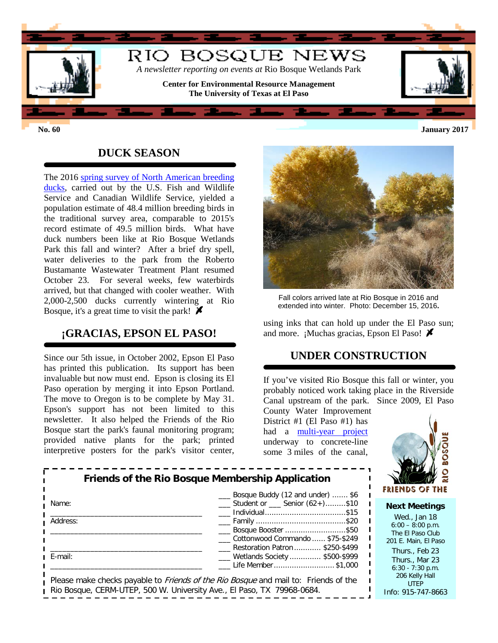

### **DUCK SEASON**

The 2016 [spring survey of North American breeding](https://www.fws.gov/migratorybirds/pdf/surveys-and-data/Population-status/Waterfowl/WaterfowlPopulationStatusReport16.pdf)  [ducks,](https://www.fws.gov/migratorybirds/pdf/surveys-and-data/Population-status/Waterfowl/WaterfowlPopulationStatusReport16.pdf) carried out by the U.S. Fish and Wildlife Service and Canadian Wildlife Service, yielded a population estimate of 48.4 million breeding birds in the traditional survey area, comparable to 2015's record estimate of 49.5 million birds. What have duck numbers been like at Rio Bosque Wetlands Park this fall and winter? After a brief dry spell, water deliveries to the park from the Roberto Bustamante Wastewater Treatment Plant resumed October 23. For several weeks, few waterbirds arrived, but that changed with cooler weather. With 2,000-2,500 ducks currently wintering at Rio Bosque, it's a great time to visit the park!  $\blacktriangleright$ 

## **¡GRACIAS, EPSON EL PASO!**

Since our 5th issue, in October 2002, Epson El Paso has printed this publication. Its support has been invaluable but now must end. Epson is closing its El Paso operation by merging it into Epson Portland. The move to Oregon is to be complete by May 31. Epson's support has not been limited to this newsletter. It also helped the Friends of the Rio Bosque start the park's faunal monitoring program; provided native plants for the park; printed interpretive posters for the park's visitor center,



Fall colors arrived late at Rio Bosque in 2016 and extended into winter. Photo: December 15, 2016**.**

using inks that can hold up under the El Paso sun; and more. ¡Muchas gracias, Epson El Paso!  $\blacktriangleright$ 

#### **UNDER CONSTRUCTION**

If you've visited Rio Bosque this fall or winter, you probably noticed work taking place in the Riverside Canal upstream of the park. Since 2009, El Paso

County Water Improvement District #1 (El Paso #1) has had a [multi-year project](http://research.utep.edu/Default.aspx?tabid=43770) underway to concrete-line some 3 miles of the canal,



|          | Friends of the Rio Bosque Membership Application                                            |
|----------|---------------------------------------------------------------------------------------------|
| Name:    | Bosque Buddy (12 and under)  \$6<br>$\frac{1}{2}$ Student or $\frac{1}{2}$ Senior (62+)\$10 |
| Address: | Eosque Booster \$50                                                                         |
|          | Cottonwood Commando  \$75-\$249<br>Restoration Patron  \$250-\$499                          |
| E-mail:  | ___ Wetlands Society  \$500-\$999<br>Life Member \$1,000                                    |
|          | Please make checks payable to <i>Friends of the Rio Bosque</i> and mail to: Friends of the  |

Rio Bosque, CERM-UTEP, 500 W. University Ave., El Paso, TX 79968-0684.

**Next Meetings**

Wed., Jan 18  $6:00 - 8:00$  p.m. The El Paso Club 201 E. Main, El Paso Thurs., Feb 23 Thurs., Mar 23 6:30 - 7:30 p.m. 206 Kelly Hall UTEP Info: 915-747-8663